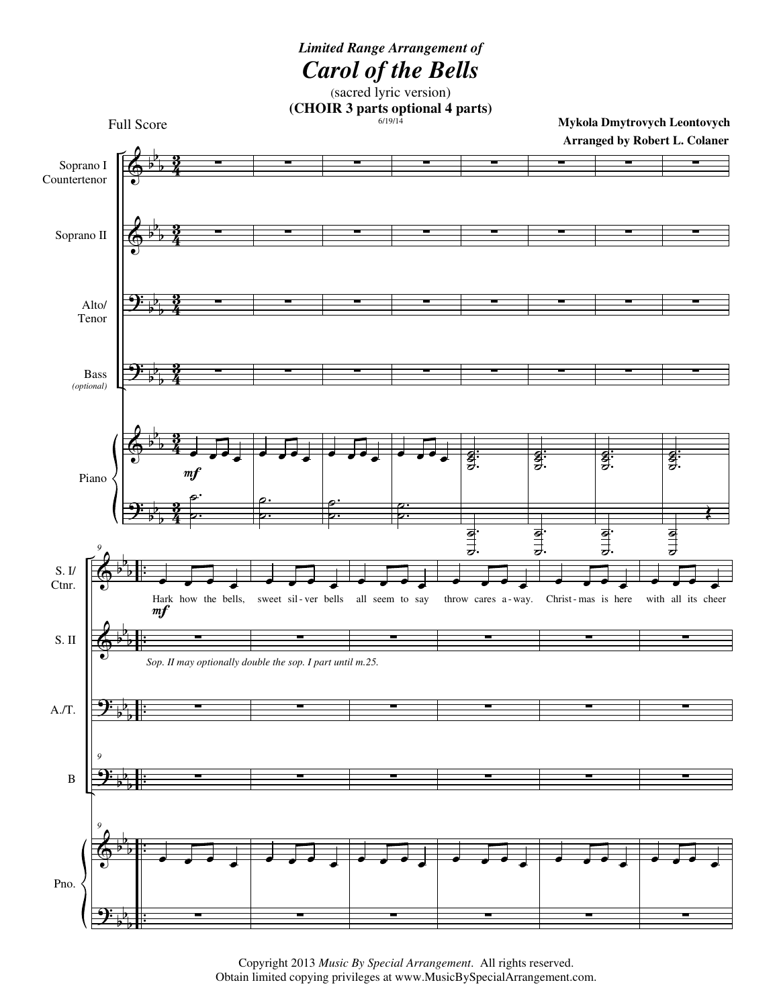

Copyright 2013 *Music By Special Arrangement*. All rights reserved. Obtain limited copying privileges at www.MusicBySpecialArrangement.com.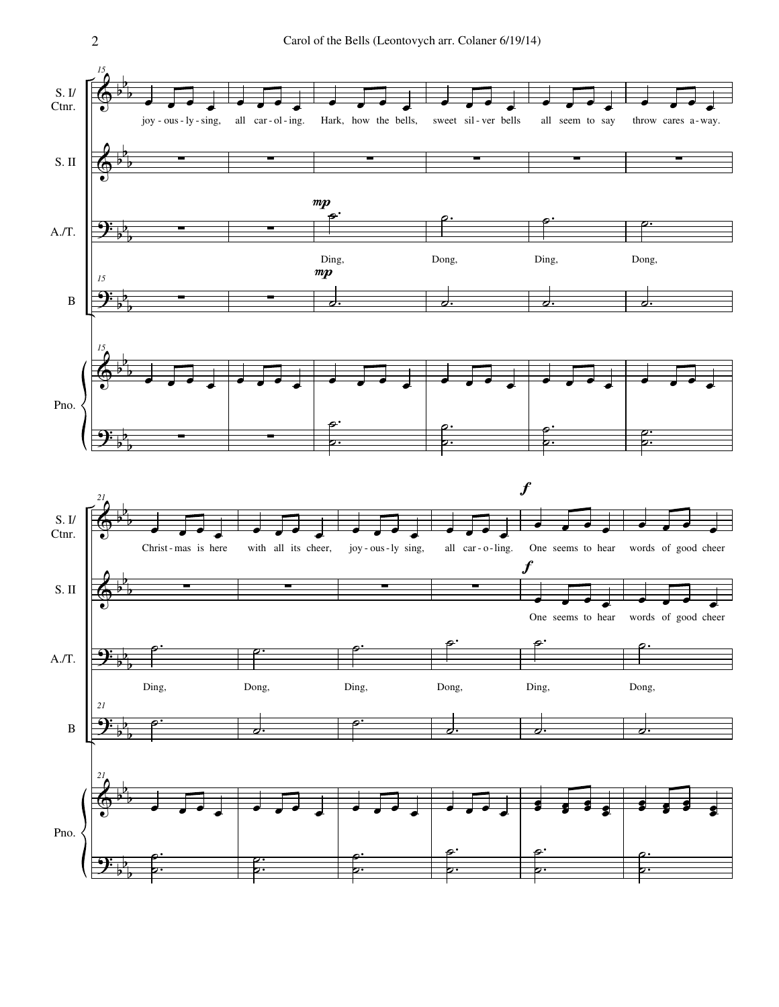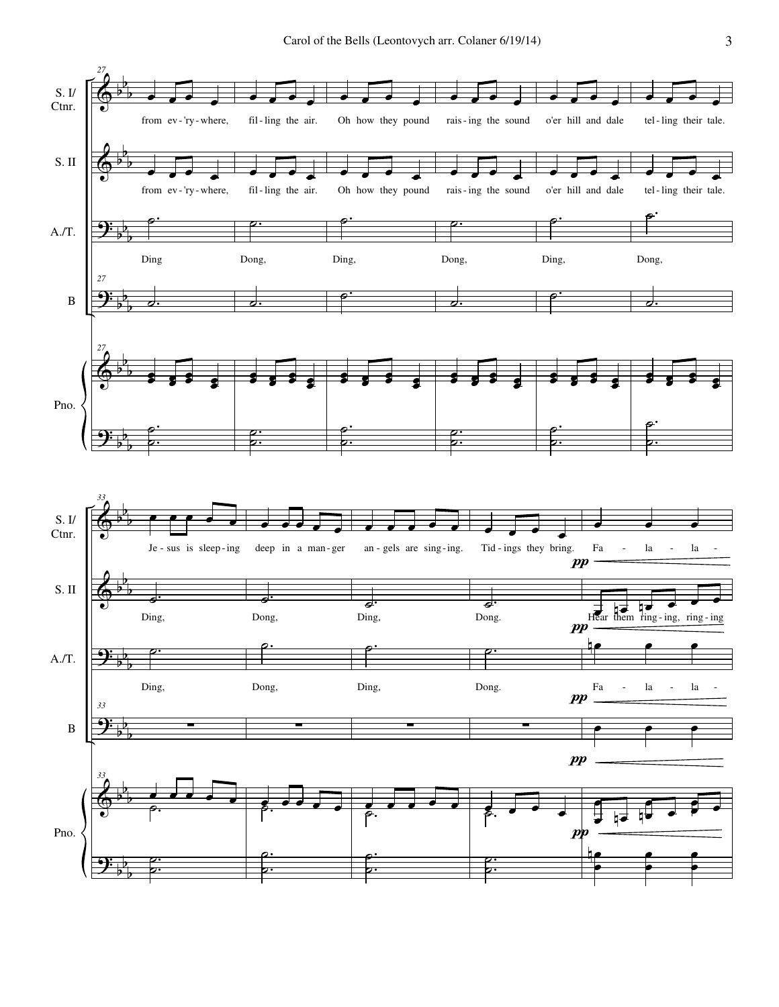